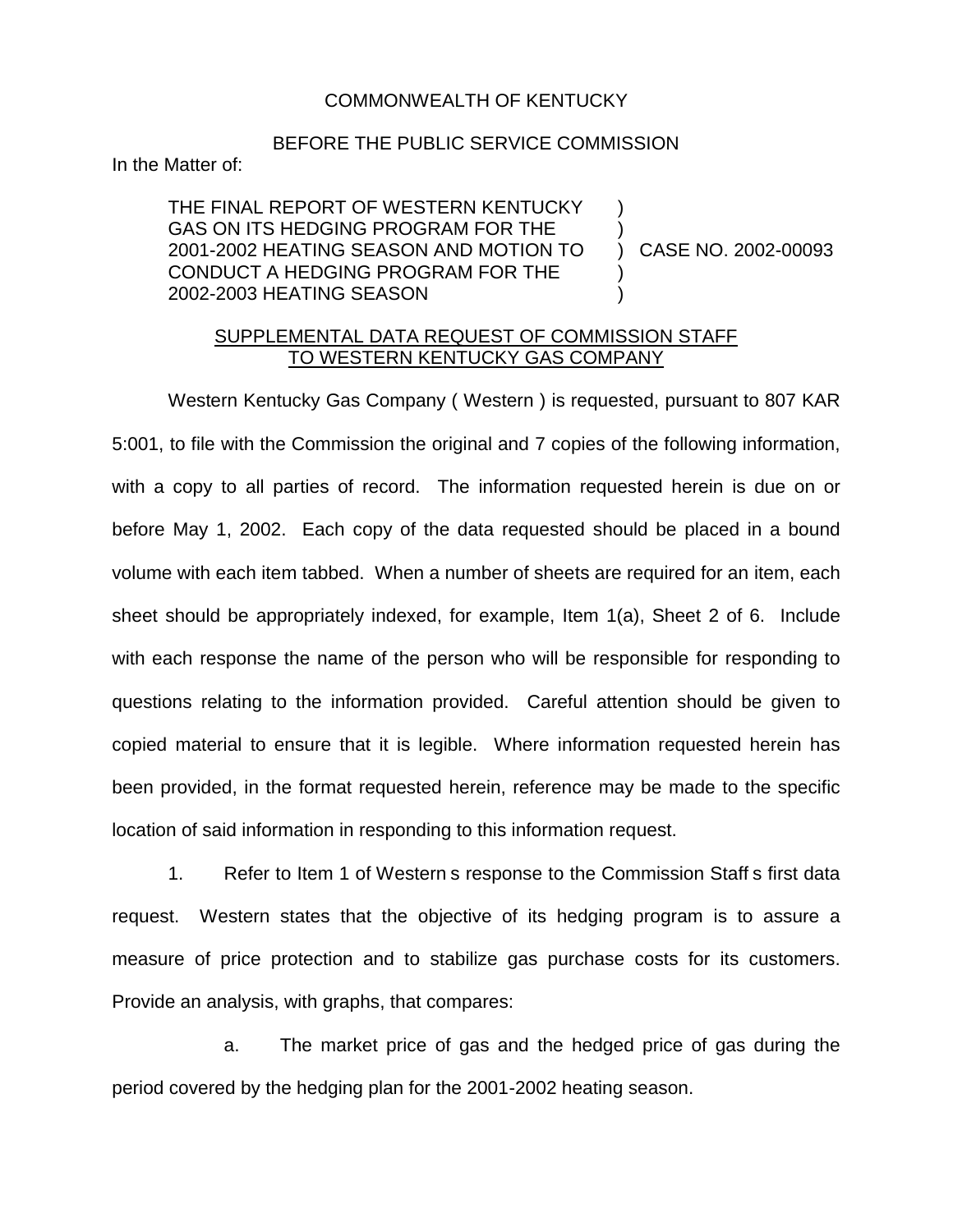## COMMONWEALTH OF KENTUCKY

## BEFORE THE PUBLIC SERVICE COMMISSION

In the Matter of:

THE FINAL REPORT OF WESTERN KENTUCKY GAS ON ITS HEDGING PROGRAM FOR THE 2001-2002 HEATING SEASON AND MOTION TO CONDUCT A HEDGING PROGRAM FOR THE 2002-2003 HEATING SEASON ) ) ) CASE NO. 2002-00093 ) )

## SUPPLEMENTAL DATA REQUEST OF COMMISSION STAFF TO WESTERN KENTUCKY GAS COMPANY

Western Kentucky Gas Company ( Western ) is requested, pursuant to 807 KAR 5:001, to file with the Commission the original and 7 copies of the following information, with a copy to all parties of record. The information requested herein is due on or before May 1, 2002. Each copy of the data requested should be placed in a bound volume with each item tabbed. When a number of sheets are required for an item, each sheet should be appropriately indexed, for example, Item 1(a), Sheet 2 of 6. Include with each response the name of the person who will be responsible for responding to questions relating to the information provided. Careful attention should be given to copied material to ensure that it is legible. Where information requested herein has been provided, in the format requested herein, reference may be made to the specific location of said information in responding to this information request.

1. Refer to Item 1 of Western s response to the Commission Staff s first data request. Western states that the objective of its hedging program is to assure a measure of price protection and to stabilize gas purchase costs for its customers. Provide an analysis, with graphs, that compares:

a. The market price of gas and the hedged price of gas during the period covered by the hedging plan for the 2001-2002 heating season.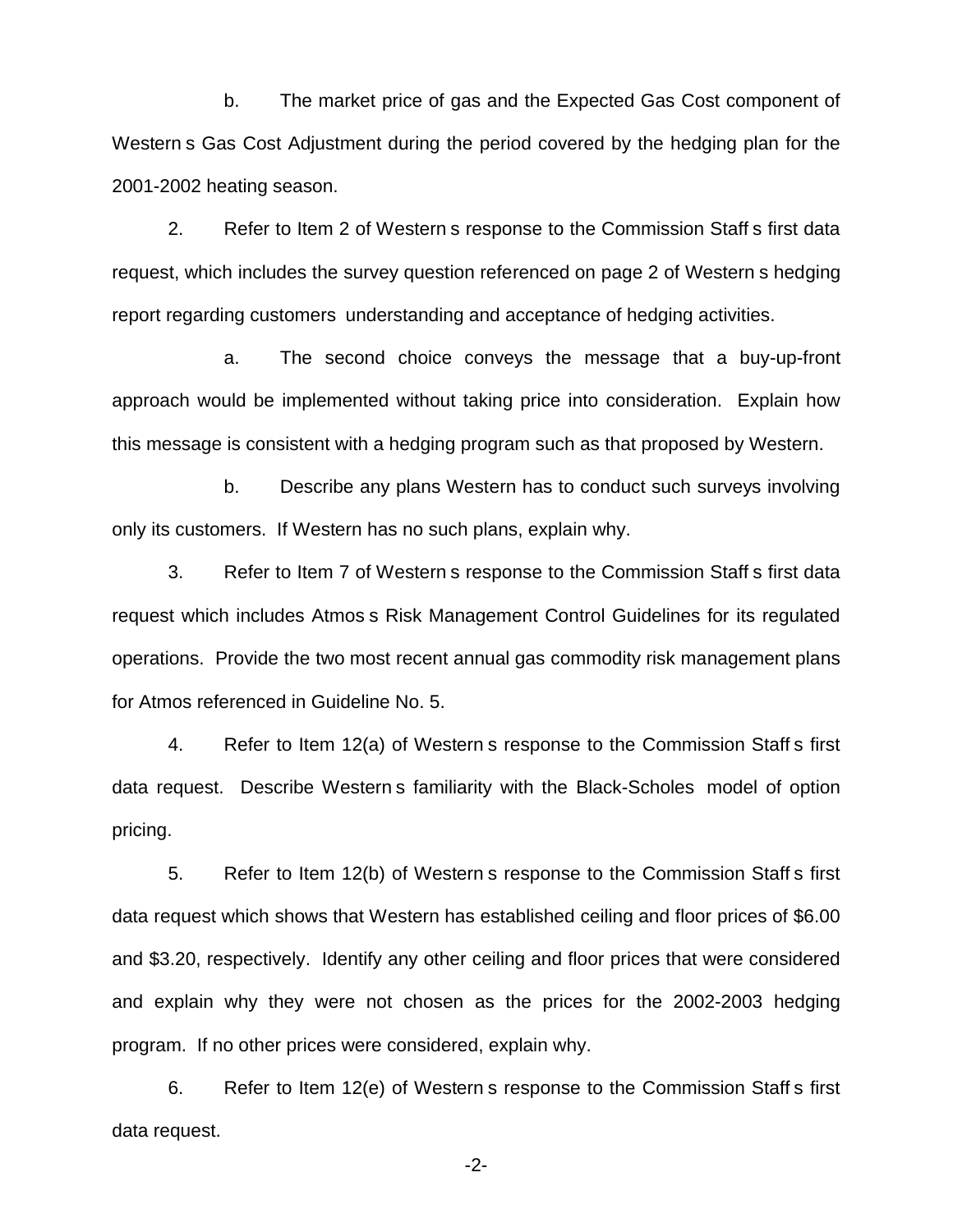b. The market price of gas and the Expected Gas Cost component of Western s Gas Cost Adjustment during the period covered by the hedging plan for the 2001-2002 heating season.

2. Refer to Item 2 of Western s response to the Commission Staff s first data request, which includes the survey question referenced on page 2 of Western s hedging report regarding customers understanding and acceptance of hedging activities.

a. The second choice conveys the message that a buy-up-front approach would be implemented without taking price into consideration. Explain how this message is consistent with a hedging program such as that proposed by Western.

b. Describe any plans Western has to conduct such surveys involving only its customers. If Western has no such plans, explain why.

3. Refer to Item 7 of Western s response to the Commission Staff s first data request which includes Atmos s Risk Management Control Guidelines for its regulated operations. Provide the two most recent annual gas commodity risk management plans for Atmos referenced in Guideline No. 5.

4. Refer to Item 12(a) of Western s response to the Commission Staff s first data request. Describe Western s familiarity with the Black-Scholes model of option pricing.

5. Refer to Item 12(b) of Western s response to the Commission Staff s first data request which shows that Western has established ceiling and floor prices of \$6.00 and \$3.20, respectively. Identify any other ceiling and floor prices that were considered and explain why they were not chosen as the prices for the 2002-2003 hedging program. If no other prices were considered, explain why.

6. Refer to Item 12(e) of Western s response to the Commission Staff s first data request.

-2-